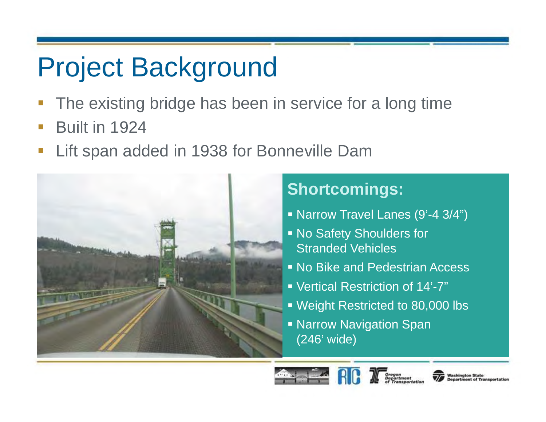# Project Background

- The existing bridge has been in service for a long time
- $\Box$ Built in 1924
- $\overline{\mathbb{R}}$ Lift span added in 1938 for Bonneville Dam



#### **Shortcomings:**

- Narrow Travel Lanes (9'-4 3/4")
- No Safety Shoulders for Stranded Vehicles
- No Bike and Pedestrian Access
- Vertical Restriction of 14'-7"
- Weight Restricted to 80,000 lbs
- **Narrow Navigation Span** (246' wide)



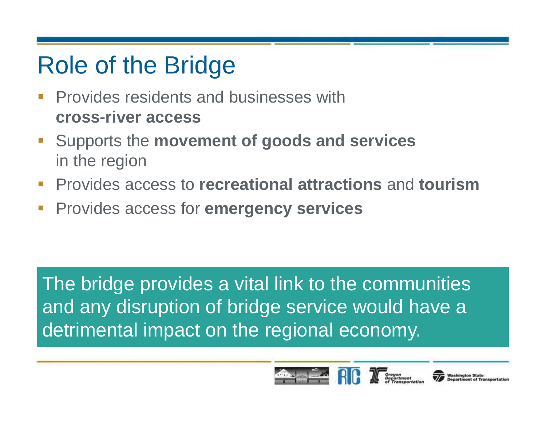### Role of the Bridge

- $\Box$  Provides residents and businesses with **cross-river access**
- Supports the **movement of goods and services** in the region
- Provides access to **recreational attractions** and **tourism**
- $\mathbb{R}^3$ Provides access for **emergency services**

The bridge provides a vital link to the communities and any disruption of bridge service would have a detrimental impact on the regional economy.



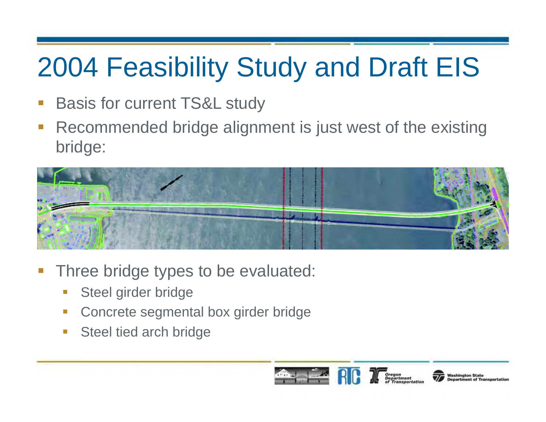### 2004 Feasibility Study and Draft EIS

- $\mathbb{R}^3$ Basis for current TS&L study
- $\mathbb{R}^3$  Recommended bridge alignment is just west of the existing bridge:



- $\overline{\phantom{a}}$  Three bridge types to be evaluated:
	- Steel girder bridge
	- Concrete segmental box girder bridge
	- $\mathcal{C}^{\mathcal{A}}$ Steel tied arch bridge

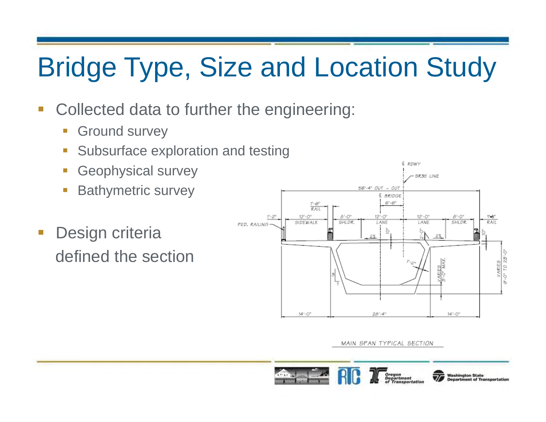# Bridge Type, Size and Location Study

- $\mathcal{L}_{\mathcal{A}}$  Collected data to further the engineering:
	- $\Box$ Ground survey
	- Subsurface exploration and testing
	- Ŧ Geophysical survey
	- Bathymetric survey
- $\mathbb{R}^3$  Design criteria defined the section



MAIN SPAN TYPICAL SECTION

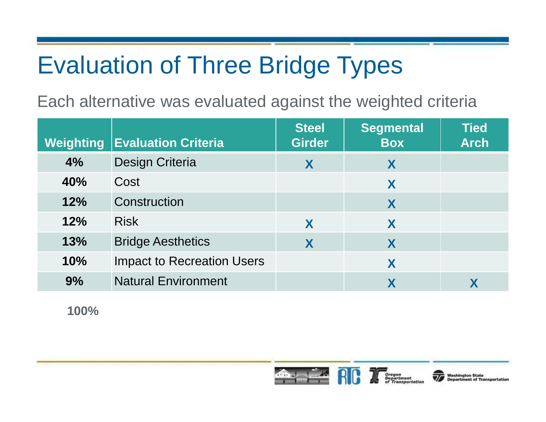### Evaluation of Three Bridge Types

Each alternative was evaluated against the weighted criteria

| <b>Weighting</b> | <b>Evaluation Criteria</b>        | <b>Steel</b><br><b>Girder</b> | <b>Segmental</b><br><b>Box</b> | <b>Tied</b><br><b>Arch</b> |
|------------------|-----------------------------------|-------------------------------|--------------------------------|----------------------------|
| 4%               | Design Criteria                   | X                             | X                              |                            |
| 40%              | Cost                              |                               | X                              |                            |
| 12%              | Construction                      |                               | X                              |                            |
| 12%              | <b>Risk</b>                       | X                             | X                              |                            |
| 13%              | <b>Bridge Aesthetics</b>          | X                             | X                              |                            |
| 10%              | <b>Impact to Recreation Users</b> |                               | X                              |                            |
| 9%               | <b>Natural Environment</b>        |                               | X                              |                            |

**100%**

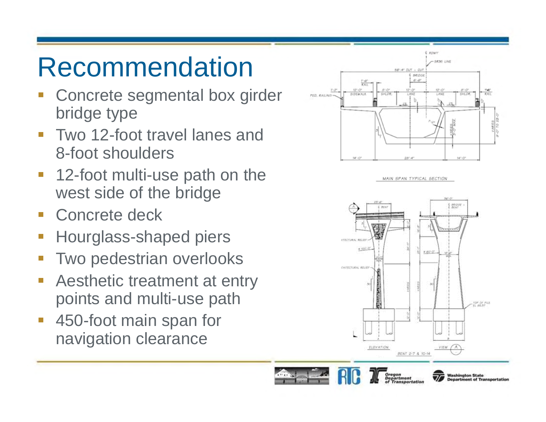### Recommendation

- $\mathbb{R}^3$  Concrete segmental box girder bridge type
- $\overline{\phantom{a}}$  Two 12-foot travel lanes and 8-foot shoulders
- $\mathbb{R}^n$  12-foot multi-use path on the west side of the bridge
- **Concrete deck**
- $\mathbb{R}^3$ Hourglass-shaped piers
- $\mathbb{R}^n$ Two pedestrian overlooks
- $\mathbb{R}^3$  Aesthetic treatment at entry points and multi-use path
- $\overline{\phantom{a}}$  450-foot main span for navigation clearance

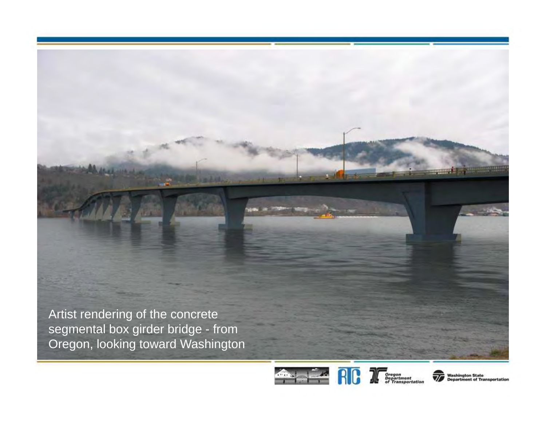Artist rendering of the concrete segmental box girder bridge - from Oregon, looking toward Washington



**Washington State** int of Tra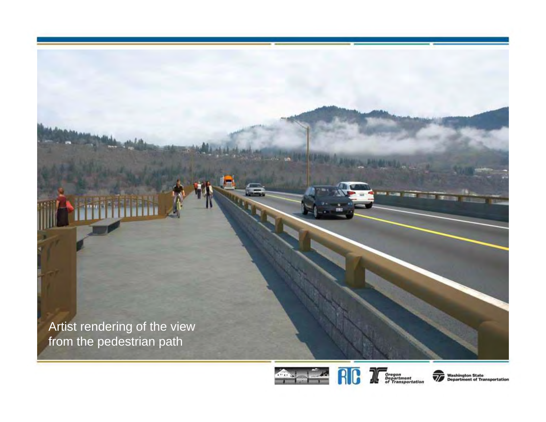





**Washington State<br>Department of Transportation**  $\overline{\mathscr{U}}$